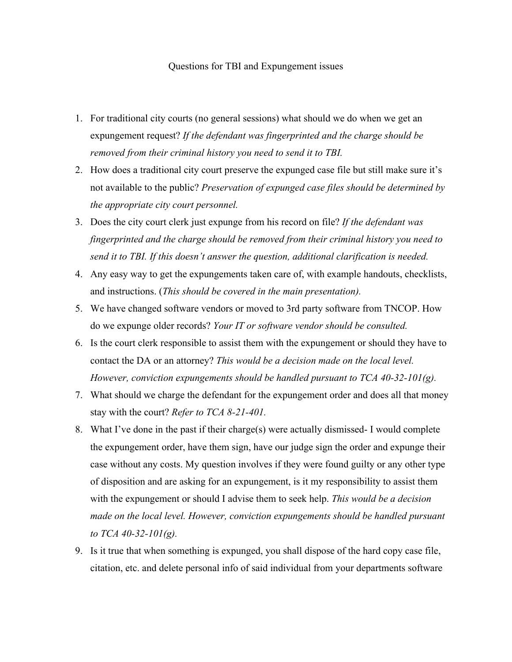## Questions for TBI and Expungement issues

- 1. For traditional city courts (no general sessions) what should we do when we get an expungement request? *If the defendant was fingerprinted and the charge should be removed from their criminal history you need to send it to TBI.*
- 2. How does a traditional city court preserve the expunged case file but still make sure it's not available to the public? *Preservation of expunged case files should be determined by the appropriate city court personnel.*
- 3. Does the city court clerk just expunge from his record on file? *If the defendant was fingerprinted and the charge should be removed from their criminal history you need to send it to TBI. If this doesn't answer the question, additional clarification is needed.*
- 4. Any easy way to get the expungements taken care of, with example handouts, checklists, and instructions. (*This should be covered in the main presentation).*
- 5. We have changed software vendors or moved to 3rd party software from TNCOP. How do we expunge older records? *Your IT or software vendor should be consulted.*
- 6. Is the court clerk responsible to assist them with the expungement or should they have to contact the DA or an attorney? *This would be a decision made on the local level. However, conviction expungements should be handled pursuant to TCA 40-32-101(g).*
- 7. What should we charge the defendant for the expungement order and does all that money stay with the court? *Refer to TCA 8-21-401.*
- 8. What I've done in the past if their charge(s) were actually dismissed- I would complete the expungement order, have them sign, have our judge sign the order and expunge their case without any costs. My question involves if they were found guilty or any other type of disposition and are asking for an expungement, is it my responsibility to assist them with the expungement or should I advise them to seek help. *This would be a decision*  made on the local level. However, conviction expungements should be handled pursuant *to TCA 40-32-101(g).*
- 9. Is it true that when something is expunged, you shall dispose of the hard copy case file, citation, etc. and delete personal info of said individual from your departments software